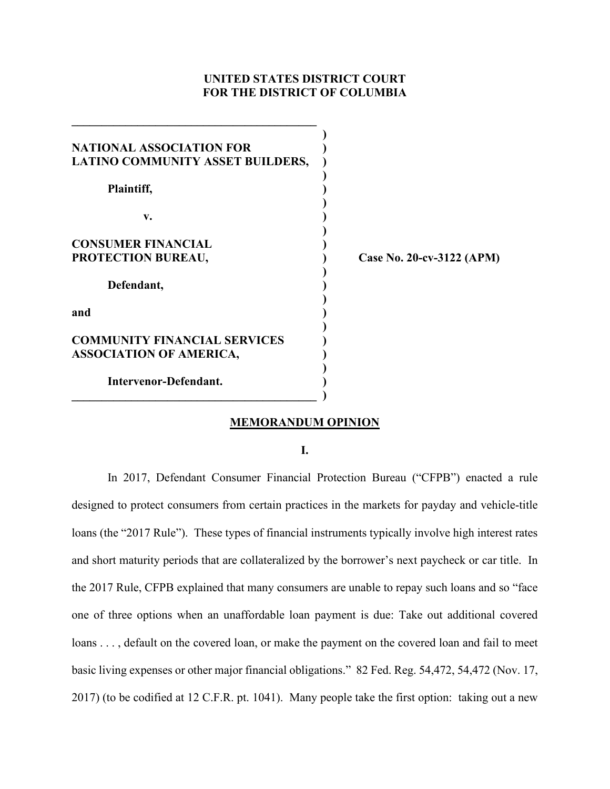# **UNITED STATES DISTRICT COURT FOR THE DISTRICT OF COLUMBIA**

| <b>NATIONAL ASSOCIATION FOR</b>     |                           |
|-------------------------------------|---------------------------|
| LATINO COMMUNITY ASSET BUILDERS,    |                           |
|                                     |                           |
| Plaintiff,                          |                           |
| v.                                  |                           |
| <b>CONSUMER FINANCIAL</b>           |                           |
| PROTECTION BUREAU,                  | Case No. 20-cv-3122 (APM) |
| Defendant,                          |                           |
|                                     |                           |
| and                                 |                           |
| <b>COMMUNITY FINANCIAL SERVICES</b> |                           |
| <b>ASSOCIATION OF AMERICA,</b>      |                           |
| Intervenor-Defendant.               |                           |
|                                     |                           |

**\_\_\_\_\_\_\_\_\_\_\_\_\_\_\_\_\_\_\_\_\_\_\_\_\_\_\_\_\_\_\_\_\_\_\_\_\_\_\_\_\_** 

## **MEMORANDUM OPINION**

**I.**

In 2017, Defendant Consumer Financial Protection Bureau ("CFPB") enacted a rule designed to protect consumers from certain practices in the markets for payday and vehicle-title loans (the "2017 Rule"). These types of financial instruments typically involve high interest rates and short maturity periods that are collateralized by the borrower's next paycheck or car title. In the 2017 Rule, CFPB explained that many consumers are unable to repay such loans and so "face one of three options when an unaffordable loan payment is due: Take out additional covered loans . . . , default on the covered loan, or make the payment on the covered loan and fail to meet basic living expenses or other major financial obligations." 82 Fed. Reg. 54,472, 54,472 (Nov. 17, 2017) (to be codified at 12 C.F.R. pt. 1041). Many people take the first option: taking out a new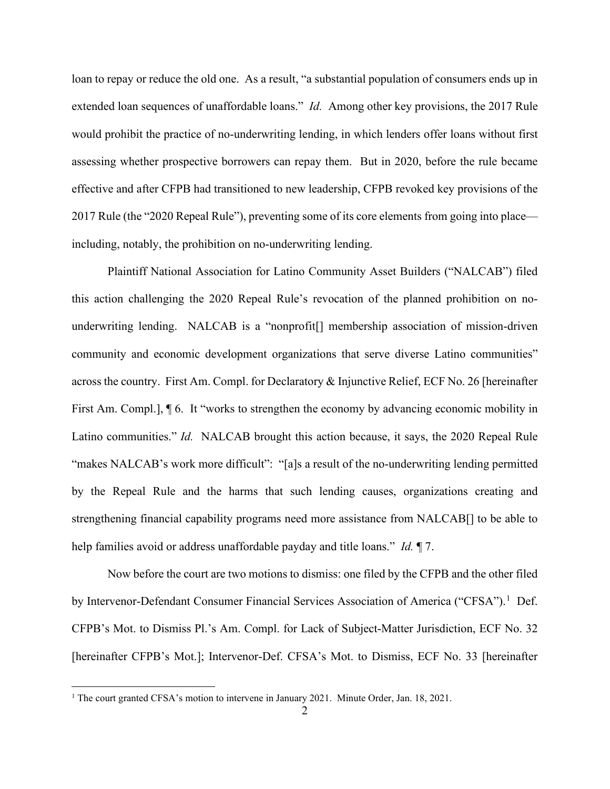loan to repay or reduce the old one. As a result, "a substantial population of consumers ends up in extended loan sequences of unaffordable loans." *Id.* Among other key provisions, the 2017 Rule would prohibit the practice of no-underwriting lending, in which lenders offer loans without first assessing whether prospective borrowers can repay them. But in 2020, before the rule became effective and after CFPB had transitioned to new leadership, CFPB revoked key provisions of the 2017 Rule (the "2020 Repeal Rule"), preventing some of its core elements from going into place including, notably, the prohibition on no-underwriting lending.

Plaintiff National Association for Latino Community Asset Builders ("NALCAB") filed this action challenging the 2020 Repeal Rule's revocation of the planned prohibition on nounderwriting lending. NALCAB is a "nonprofit[] membership association of mission-driven community and economic development organizations that serve diverse Latino communities" across the country. First Am. Compl. for Declaratory & Injunctive Relief, ECF No. 26 [hereinafter First Am. Compl.],  $\P$  6. It "works to strengthen the economy by advancing economic mobility in Latino communities." *Id.* NALCAB brought this action because, it says, the 2020 Repeal Rule "makes NALCAB's work more difficult": "[a]s a result of the no-underwriting lending permitted by the Repeal Rule and the harms that such lending causes, organizations creating and strengthening financial capability programs need more assistance from NALCAB[] to be able to help families avoid or address unaffordable payday and title loans." *Id.* ¶ 7.

Now before the court are two motions to dismiss: one filed by the CFPB and the other filed by Intervenor-Defendant Consumer Financial Services Association of America ("CFSA").<sup>1</sup> Def. CFPB's Mot. to Dismiss Pl.'s Am. Compl. for Lack of Subject-Matter Jurisdiction, ECF No. 32 [hereinafter CFPB's Mot.]; Intervenor-Def. CFSA's Mot. to Dismiss, ECF No. 33 [hereinafter

<sup>&</sup>lt;sup>1</sup> The court granted CFSA's motion to intervene in January 2021. Minute Order, Jan. 18, 2021.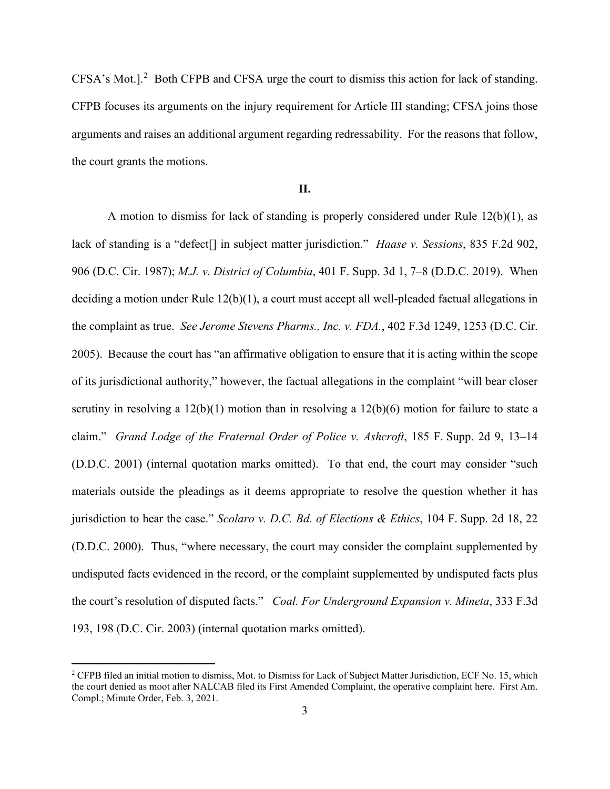CFSA's Mot.].<sup>2</sup> Both CFPB and CFSA urge the court to dismiss this action for lack of standing. CFPB focuses its arguments on the injury requirement for Article III standing; CFSA joins those arguments and raises an additional argument regarding redressability. For the reasons that follow, the court grants the motions.

### **II.**

A motion to dismiss for lack of standing is properly considered under Rule 12(b)(1), as lack of standing is a "defect[] in subject matter jurisdiction." *Haase v. Sessions*, 835 F.2d 902, 906 (D.C. Cir. 1987); *M.J. v. District of Columbia*, 401 F. Supp. 3d 1, 7–8 (D.D.C. 2019). When deciding a motion under Rule 12(b)(1), a court must accept all well-pleaded factual allegations in the complaint as true. *See Jerome Stevens Pharms., Inc. v. FDA.*, 402 F.3d 1249, 1253 (D.C. Cir. 2005). Because the court has "an affirmative obligation to ensure that it is acting within the scope of its jurisdictional authority," however, the factual allegations in the complaint "will bear closer scrutiny in resolving a 12(b)(1) motion than in resolving a 12(b)(6) motion for failure to state a claim." *Grand Lodge of the Fraternal Order of Police v. Ashcroft*, 185 F. Supp. 2d 9, 13–14 (D.D.C. 2001) (internal quotation marks omitted). To that end, the court may consider "such materials outside the pleadings as it deems appropriate to resolve the question whether it has jurisdiction to hear the case." *Scolaro v. D.C. Bd. of Elections & Ethics*, 104 F. Supp. 2d 18, 22 (D.D.C. 2000). Thus, "where necessary, the court may consider the complaint supplemented by undisputed facts evidenced in the record, or the complaint supplemented by undisputed facts plus the court's resolution of disputed facts." *Coal. For Underground Expansion v. Mineta*, 333 F.3d 193, 198 (D.C. Cir. 2003) (internal quotation marks omitted).

<sup>&</sup>lt;sup>2</sup> CFPB filed an initial motion to dismiss, Mot. to Dismiss for Lack of Subject Matter Jurisdiction, ECF No. 15, which the court denied as moot after NALCAB filed its First Amended Complaint, the operative complaint here. First Am. Compl.; Minute Order, Feb. 3, 2021.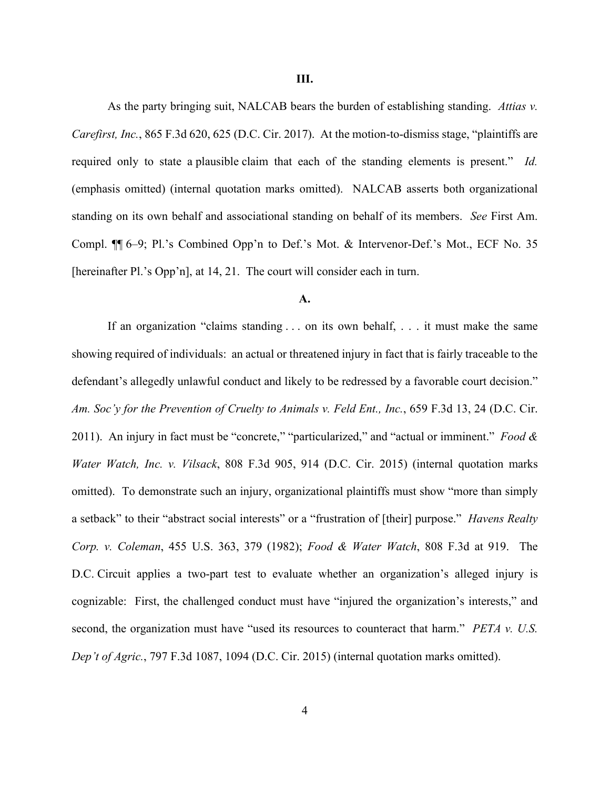As the party bringing suit, NALCAB bears the burden of establishing standing. *Attias v. Carefirst, Inc.*, 865 F.3d 620, 625 (D.C. Cir. 2017). At the motion-to-dismiss stage, "plaintiffs are required only to state a plausible claim that each of the standing elements is present." *Id.*  (emphasis omitted) (internal quotation marks omitted). NALCAB asserts both organizational standing on its own behalf and associational standing on behalf of its members. *See* First Am. Compl. ¶¶ 6–9; Pl.'s Combined Opp'n to Def.'s Mot. & Intervenor-Def.'s Mot., ECF No. 35 [hereinafter Pl.'s Opp'n], at 14, 21. The court will consider each in turn.

#### **A.**

If an organization "claims standing . . . on its own behalf, . . . it must make the same showing required of individuals: an actual or threatened injury in fact that is fairly traceable to the defendant's allegedly unlawful conduct and likely to be redressed by a favorable court decision." *Am. Soc'y for the Prevention of Cruelty to Animals v. Feld Ent., Inc.*, 659 F.3d 13, 24 (D.C. Cir. 2011). An injury in fact must be "concrete," "particularized," and "actual or imminent." *Food & Water Watch, Inc. v. Vilsack*, 808 F.3d 905, 914 (D.C. Cir. 2015) (internal quotation marks omitted). To demonstrate such an injury, organizational plaintiffs must show "more than simply a setback" to their "abstract social interests" or a "frustration of [their] purpose." *Havens Realty Corp. v. Coleman*, 455 U.S. 363, 379 (1982); *Food & Water Watch*, 808 F.3d at 919. The D.C. Circuit applies a two-part test to evaluate whether an organization's alleged injury is cognizable: First, the challenged conduct must have "injured the organization's interests," and second, the organization must have "used its resources to counteract that harm." *PETA v. U.S. Dep't of Agric.*, 797 F.3d 1087, 1094 (D.C. Cir. 2015) (internal quotation marks omitted).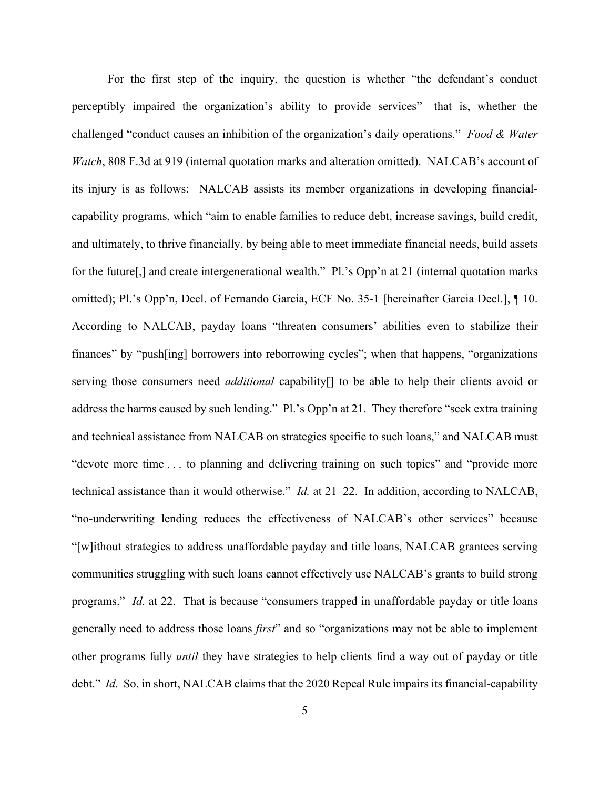For the first step of the inquiry, the question is whether "the defendant's conduct perceptibly impaired the organization's ability to provide services"—that is, whether the challenged "conduct causes an inhibition of the organization's daily operations." *Food & Water Watch*, 808 F.3d at 919 (internal quotation marks and alteration omitted). NALCAB's account of its injury is as follows: NALCAB assists its member organizations in developing financialcapability programs, which "aim to enable families to reduce debt, increase savings, build credit, and ultimately, to thrive financially, by being able to meet immediate financial needs, build assets for the future[,] and create intergenerational wealth." Pl.'s Opp'n at 21 (internal quotation marks omitted); Pl.'s Opp'n, Decl. of Fernando Garcia, ECF No. 35-1 [hereinafter Garcia Decl.], ¶ 10. According to NALCAB, payday loans "threaten consumers' abilities even to stabilize their finances" by "push[ing] borrowers into reborrowing cycles"; when that happens, "organizations serving those consumers need *additional* capability[] to be able to help their clients avoid or address the harms caused by such lending." Pl.'s Opp'n at 21. They therefore "seek extra training and technical assistance from NALCAB on strategies specific to such loans," and NALCAB must "devote more time . . . to planning and delivering training on such topics" and "provide more technical assistance than it would otherwise." *Id.* at 21–22. In addition, according to NALCAB, "no-underwriting lending reduces the effectiveness of NALCAB's other services" because "[w]ithout strategies to address unaffordable payday and title loans, NALCAB grantees serving communities struggling with such loans cannot effectively use NALCAB's grants to build strong programs." *Id.* at 22. That is because "consumers trapped in unaffordable payday or title loans generally need to address those loans *first*" and so "organizations may not be able to implement other programs fully *until* they have strategies to help clients find a way out of payday or title debt." *Id.* So, in short, NALCAB claims that the 2020 Repeal Rule impairs its financial-capability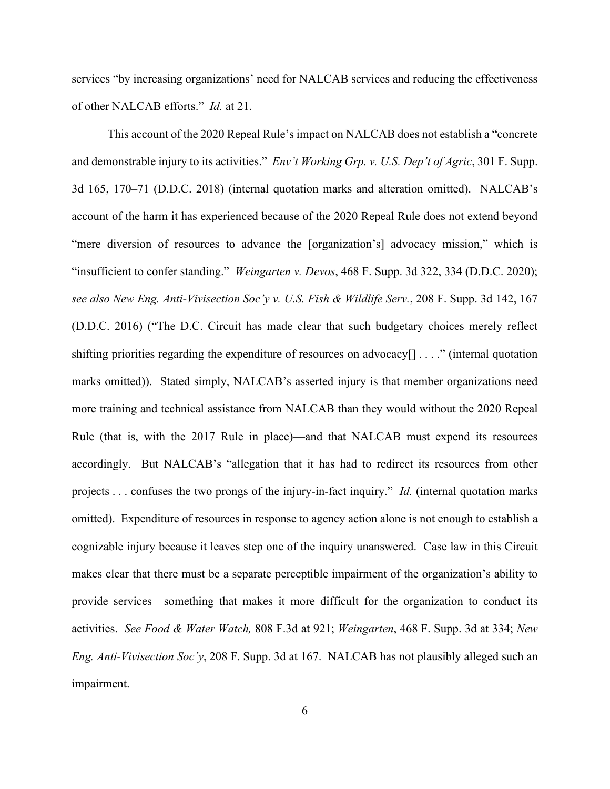services "by increasing organizations' need for NALCAB services and reducing the effectiveness of other NALCAB efforts." *Id.* at 21.

This account of the 2020 Repeal Rule's impact on NALCAB does not establish a "concrete and demonstrable injury to its activities." *Env't Working Grp. v. U.S. Dep't of Agric*, 301 F. Supp. 3d 165, 170–71 (D.D.C. 2018) (internal quotation marks and alteration omitted). NALCAB's account of the harm it has experienced because of the 2020 Repeal Rule does not extend beyond "mere diversion of resources to advance the [organization's] advocacy mission," which is "insufficient to confer standing." *Weingarten v. Devos*, 468 F. Supp. 3d 322, 334 (D.D.C. 2020); *see also New Eng. Anti-Vivisection Soc'y v. U.S. Fish & Wildlife Serv.*, 208 F. Supp. 3d 142, 167 (D.D.C. 2016) ("The D.C. Circuit has made clear that such budgetary choices merely reflect shifting priorities regarding the expenditure of resources on advocacy[]  $\dots$  " (internal quotation marks omitted)). Stated simply, NALCAB's asserted injury is that member organizations need more training and technical assistance from NALCAB than they would without the 2020 Repeal Rule (that is, with the 2017 Rule in place)—and that NALCAB must expend its resources accordingly. But NALCAB's "allegation that it has had to redirect its resources from other projects . . . confuses the two prongs of the injury-in-fact inquiry." *Id.* (internal quotation marks omitted). Expenditure of resources in response to agency action alone is not enough to establish a cognizable injury because it leaves step one of the inquiry unanswered. Case law in this Circuit makes clear that there must be a separate perceptible impairment of the organization's ability to provide services—something that makes it more difficult for the organization to conduct its activities. *See Food & Water Watch,* 808 F.3d at 921; *Weingarten*, 468 F. Supp. 3d at 334; *New Eng. Anti-Vivisection Soc'y*, 208 F. Supp. 3d at 167. NALCAB has not plausibly alleged such an impairment.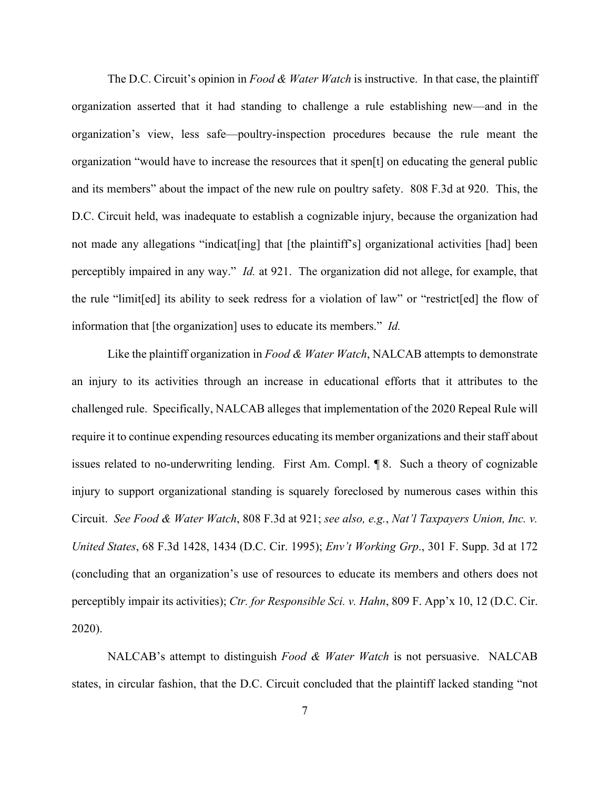The D.C. Circuit's opinion in *Food & Water Watch* is instructive. In that case, the plaintiff organization asserted that it had standing to challenge a rule establishing new—and in the organization's view, less safe—poultry-inspection procedures because the rule meant the organization "would have to increase the resources that it spen[t] on educating the general public and its members" about the impact of the new rule on poultry safety. 808 F.3d at 920. This, the D.C. Circuit held, was inadequate to establish a cognizable injury, because the organization had not made any allegations "indicat [ing] that [the plaintiff's] organizational activities [had] been perceptibly impaired in any way." *Id.* at 921. The organization did not allege, for example, that the rule "limit[ed] its ability to seek redress for a violation of law" or "restrict[ed] the flow of information that [the organization] uses to educate its members." *Id.* 

Like the plaintiff organization in *Food & Water Watch*, NALCAB attempts to demonstrate an injury to its activities through an increase in educational efforts that it attributes to the challenged rule. Specifically, NALCAB alleges that implementation of the 2020 Repeal Rule will require it to continue expending resources educating its member organizations and their staff about issues related to no-underwriting lending. First Am. Compl. ¶ 8. Such a theory of cognizable injury to support organizational standing is squarely foreclosed by numerous cases within this Circuit. *See Food & Water Watch*, 808 F.3d at 921; *see also, e.g.*, *Nat'l Taxpayers Union, Inc. v. United States*, 68 F.3d 1428, 1434 (D.C. Cir. 1995); *Env't Working Grp*., 301 F. Supp. 3d at 172 (concluding that an organization's use of resources to educate its members and others does not perceptibly impair its activities); *Ctr. for Responsible Sci. v. Hahn*, 809 F. App'x 10, 12 (D.C. Cir. 2020).

NALCAB's attempt to distinguish *Food & Water Watch* is not persuasive. NALCAB states, in circular fashion, that the D.C. Circuit concluded that the plaintiff lacked standing "not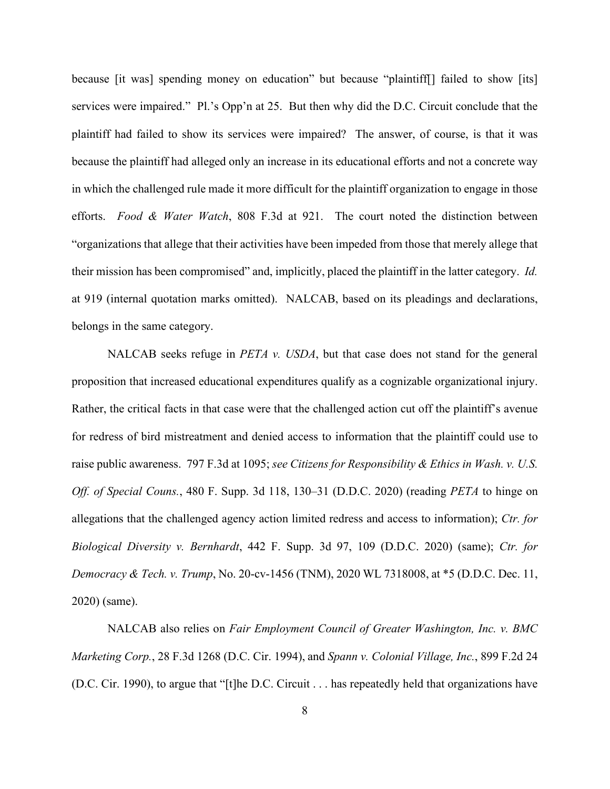because [it was] spending money on education" but because "plaintiff[] failed to show [its] services were impaired." Pl.'s Opp'n at 25. But then why did the D.C. Circuit conclude that the plaintiff had failed to show its services were impaired? The answer, of course, is that it was because the plaintiff had alleged only an increase in its educational efforts and not a concrete way in which the challenged rule made it more difficult for the plaintiff organization to engage in those efforts. *Food & Water Watch*, 808 F.3d at 921. The court noted the distinction between "organizations that allege that their activities have been impeded from those that merely allege that their mission has been compromised" and, implicitly, placed the plaintiff in the latter category. *Id.*  at 919 (internal quotation marks omitted). NALCAB, based on its pleadings and declarations, belongs in the same category.

NALCAB seeks refuge in *PETA v. USDA*, but that case does not stand for the general proposition that increased educational expenditures qualify as a cognizable organizational injury. Rather, the critical facts in that case were that the challenged action cut off the plaintiff's avenue for redress of bird mistreatment and denied access to information that the plaintiff could use to raise public awareness. 797 F.3d at 1095; *see Citizens for Responsibility & Ethics in Wash. v. U.S. Off. of Special Couns.*, 480 F. Supp. 3d 118, 130–31 (D.D.C. 2020) (reading *PETA* to hinge on allegations that the challenged agency action limited redress and access to information); *Ctr. for Biological Diversity v. Bernhardt*, 442 F. Supp. 3d 97, 109 (D.D.C. 2020) (same); *Ctr. for Democracy & Tech. v. Trump*, No. 20-cv-1456 (TNM), 2020 WL 7318008, at \*5 (D.D.C. Dec. 11, 2020) (same).

NALCAB also relies on *Fair Employment Council of Greater Washington, Inc. v. BMC Marketing Corp.*, 28 F.3d 1268 (D.C. Cir. 1994), and *Spann v. Colonial Village, Inc.*, 899 F.2d 24 (D.C. Cir. 1990), to argue that "[t]he D.C. Circuit . . . has repeatedly held that organizations have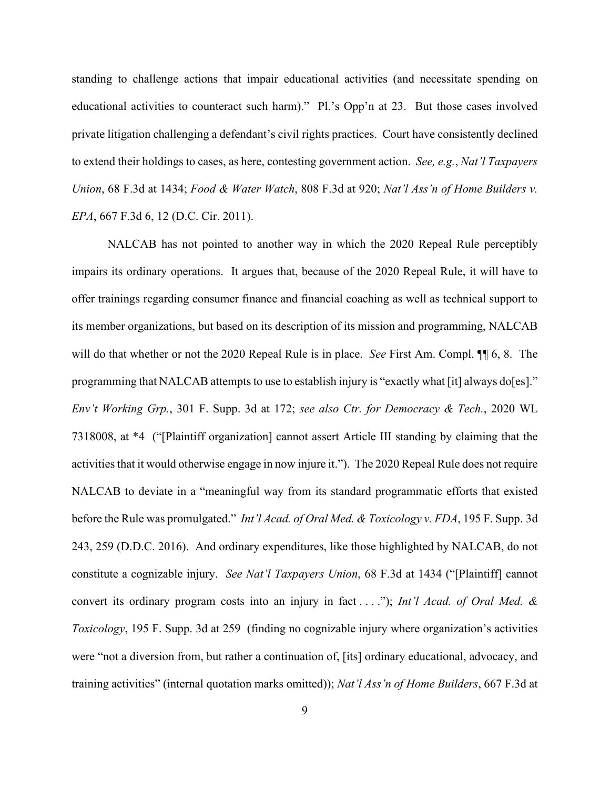standing to challenge actions that impair educational activities (and necessitate spending on educational activities to counteract such harm)." Pl.'s Opp'n at 23. But those cases involved private litigation challenging a defendant's civil rights practices. Court have consistently declined to extend their holdings to cases, as here, contesting government action. *See, e.g.*, *Nat'l Taxpayers Union*, 68 F.3d at 1434; *Food & Water Watch*, 808 F.3d at 920; *Nat'l Ass'n of Home Builders v. EPA*, 667 F.3d 6, 12 (D.C. Cir. 2011).

NALCAB has not pointed to another way in which the 2020 Repeal Rule perceptibly impairs its ordinary operations. It argues that, because of the 2020 Repeal Rule, it will have to offer trainings regarding consumer finance and financial coaching as well as technical support to its member organizations, but based on its description of its mission and programming, NALCAB will do that whether or not the 2020 Repeal Rule is in place. *See* First Am. Compl. ¶¶ 6, 8. The programming that NALCAB attempts to use to establish injury is "exactly what [it] always do[es]." *Env't Working Grp.*, 301 F. Supp. 3d at 172; *see also Ctr. for Democracy & Tech.*, 2020 WL 7318008, at \*4 ("[Plaintiff organization] cannot assert Article III standing by claiming that the activities that it would otherwise engage in now injure it."). The 2020 Repeal Rule does not require NALCAB to deviate in a "meaningful way from its standard programmatic efforts that existed before the Rule was promulgated." *Int'l Acad. of Oral Med. & Toxicology v. FDA*, 195 F. Supp. 3d 243, 259 (D.D.C. 2016). And ordinary expenditures, like those highlighted by NALCAB, do not constitute a cognizable injury. *See Nat'l Taxpayers Union*, 68 F.3d at 1434 ("[Plaintiff] cannot convert its ordinary program costs into an injury in fact . . . ."); *Int'l Acad. of Oral Med. & Toxicology*, 195 F. Supp. 3d at 259 (finding no cognizable injury where organization's activities were "not a diversion from, but rather a continuation of, [its] ordinary educational, advocacy, and training activities" (internal quotation marks omitted)); *Nat'l Ass'n of Home Builders*, 667 F.3d at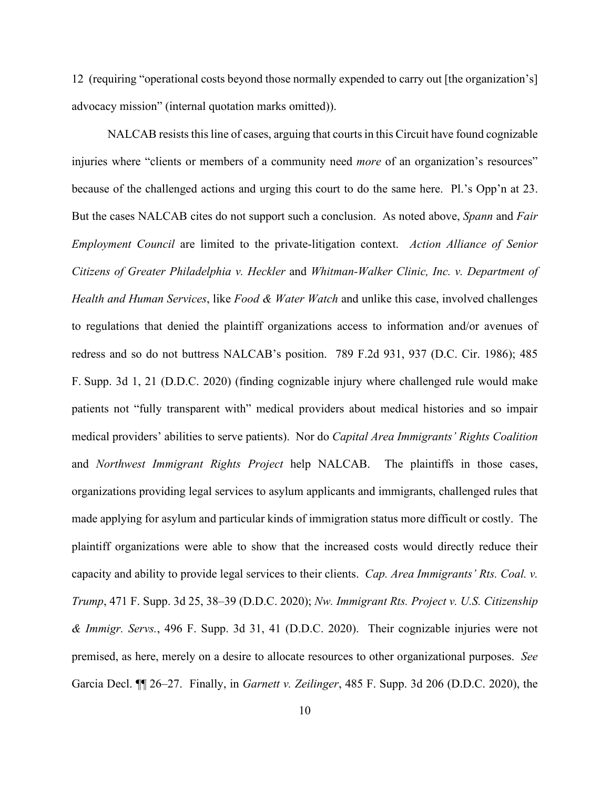12 (requiring "operational costs beyond those normally expended to carry out [the organization's] advocacy mission" (internal quotation marks omitted)).

NALCAB resists this line of cases, arguing that courts in this Circuit have found cognizable injuries where "clients or members of a community need *more* of an organization's resources" because of the challenged actions and urging this court to do the same here. Pl.'s Opp'n at 23. But the cases NALCAB cites do not support such a conclusion. As noted above, *Spann* and *Fair Employment Council* are limited to the private-litigation context. *Action Alliance of Senior Citizens of Greater Philadelphia v. Heckler* and *Whitman-Walker Clinic, Inc. v. Department of Health and Human Services*, like *Food & Water Watch* and unlike this case, involved challenges to regulations that denied the plaintiff organizations access to information and/or avenues of redress and so do not buttress NALCAB's position. 789 F.2d 931, 937 (D.C. Cir. 1986); 485 F. Supp. 3d 1, 21 (D.D.C. 2020) (finding cognizable injury where challenged rule would make patients not "fully transparent with" medical providers about medical histories and so impair medical providers' abilities to serve patients). Nor do *Capital Area Immigrants' Rights Coalition* and *Northwest Immigrant Rights Project* help NALCAB. The plaintiffs in those cases, organizations providing legal services to asylum applicants and immigrants, challenged rules that made applying for asylum and particular kinds of immigration status more difficult or costly. The plaintiff organizations were able to show that the increased costs would directly reduce their capacity and ability to provide legal services to their clients. *Cap. Area Immigrants' Rts. Coal. v. Trump*, 471 F. Supp. 3d 25, 38–39 (D.D.C. 2020); *Nw. Immigrant Rts. Project v. U.S. Citizenship & Immigr. Servs.*, 496 F. Supp. 3d 31, 41 (D.D.C. 2020). Their cognizable injuries were not premised, as here, merely on a desire to allocate resources to other organizational purposes. *See*  Garcia Decl. ¶¶ 26–27. Finally, in *Garnett v. Zeilinger*, 485 F. Supp. 3d 206 (D.D.C. 2020), the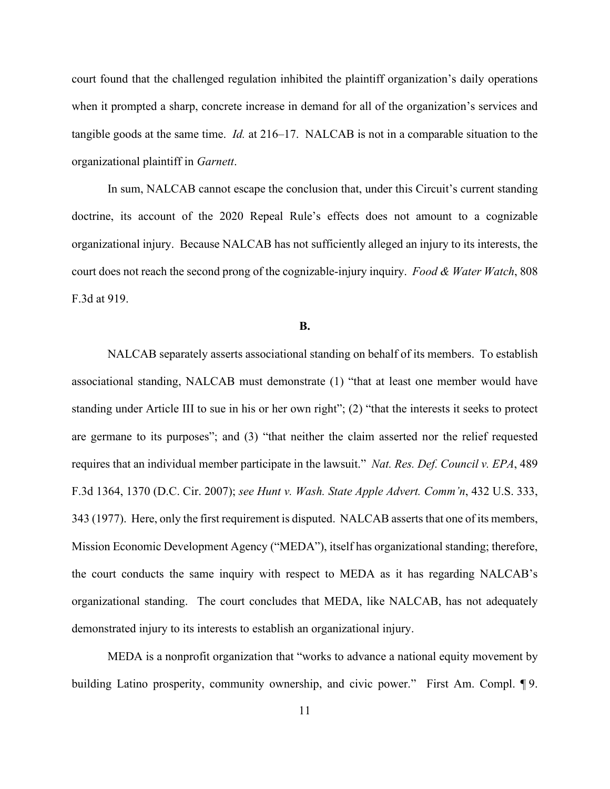court found that the challenged regulation inhibited the plaintiff organization's daily operations when it prompted a sharp, concrete increase in demand for all of the organization's services and tangible goods at the same time. *Id.* at 216–17. NALCAB is not in a comparable situation to the organizational plaintiff in *Garnett*.

In sum, NALCAB cannot escape the conclusion that, under this Circuit's current standing doctrine, its account of the 2020 Repeal Rule's effects does not amount to a cognizable organizational injury. Because NALCAB has not sufficiently alleged an injury to its interests, the court does not reach the second prong of the cognizable-injury inquiry. *Food & Water Watch*, 808 F.3d at 919.

#### **B.**

NALCAB separately asserts associational standing on behalf of its members. To establish associational standing, NALCAB must demonstrate (1) "that at least one member would have standing under Article III to sue in his or her own right"; (2) "that the interests it seeks to protect are germane to its purposes"; and (3) "that neither the claim asserted nor the relief requested requires that an individual member participate in the lawsuit." *Nat. Res. Def. Council v. EPA*, 489 F.3d 1364, 1370 (D.C. Cir. 2007); *see Hunt v. Wash. State Apple Advert. Comm'n*, 432 U.S. 333, 343 (1977). Here, only the first requirement is disputed. NALCAB asserts that one of its members, Mission Economic Development Agency ("MEDA"), itself has organizational standing; therefore, the court conducts the same inquiry with respect to MEDA as it has regarding NALCAB's organizational standing. The court concludes that MEDA, like NALCAB, has not adequately demonstrated injury to its interests to establish an organizational injury.

MEDA is a nonprofit organization that "works to advance a national equity movement by building Latino prosperity, community ownership, and civic power." First Am. Compl. 19.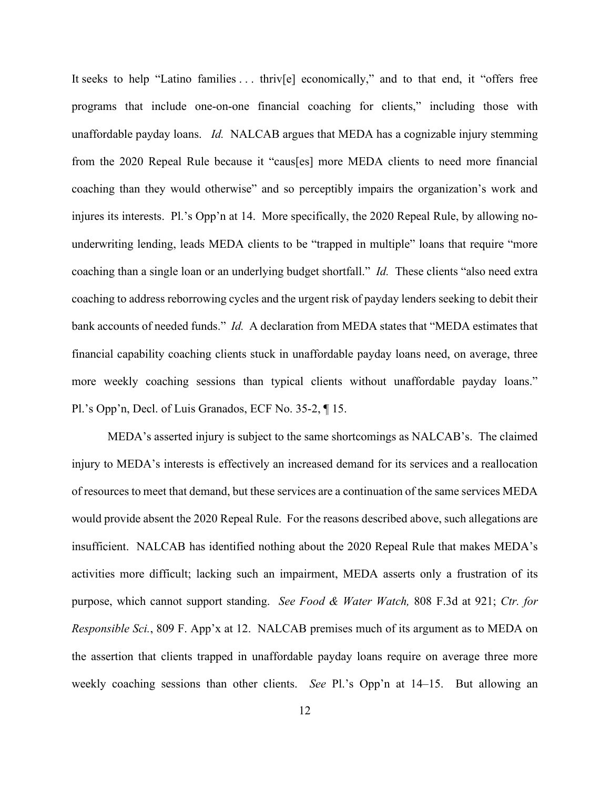It seeks to help "Latino families ... thriv[e] economically," and to that end, it "offers free programs that include one-on-one financial coaching for clients," including those with unaffordable payday loans. *Id.* NALCAB argues that MEDA has a cognizable injury stemming from the 2020 Repeal Rule because it "caus[es] more MEDA clients to need more financial coaching than they would otherwise" and so perceptibly impairs the organization's work and injures its interests. Pl.'s Opp'n at 14. More specifically, the 2020 Repeal Rule, by allowing nounderwriting lending, leads MEDA clients to be "trapped in multiple" loans that require "more coaching than a single loan or an underlying budget shortfall." *Id.* These clients "also need extra coaching to address reborrowing cycles and the urgent risk of payday lenders seeking to debit their bank accounts of needed funds." *Id.* A declaration from MEDA states that "MEDA estimates that financial capability coaching clients stuck in unaffordable payday loans need, on average, three more weekly coaching sessions than typical clients without unaffordable payday loans." Pl.'s Opp'n, Decl. of Luis Granados, ECF No. 35-2, ¶ 15.

MEDA's asserted injury is subject to the same shortcomings as NALCAB's. The claimed injury to MEDA's interests is effectively an increased demand for its services and a reallocation of resources to meet that demand, but these services are a continuation of the same services MEDA would provide absent the 2020 Repeal Rule. For the reasons described above, such allegations are insufficient. NALCAB has identified nothing about the 2020 Repeal Rule that makes MEDA's activities more difficult; lacking such an impairment, MEDA asserts only a frustration of its purpose, which cannot support standing. *See Food & Water Watch,* 808 F.3d at 921; *Ctr. for Responsible Sci.*, 809 F. App'x at 12. NALCAB premises much of its argument as to MEDA on the assertion that clients trapped in unaffordable payday loans require on average three more weekly coaching sessions than other clients. *See* Pl.'s Opp'n at 14–15. But allowing an